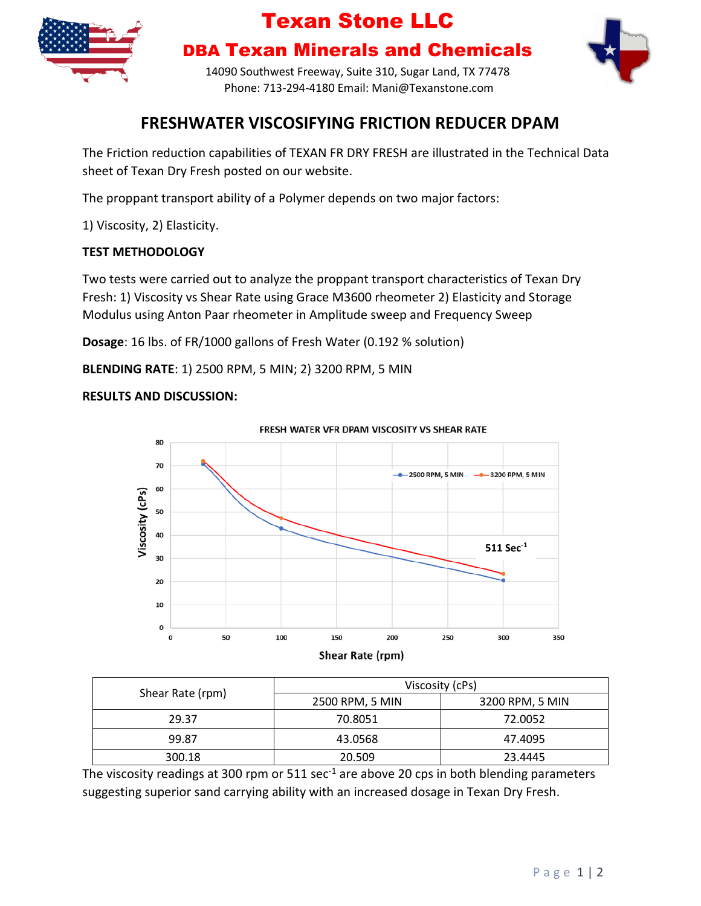

## Texan Stone LLC

DBA Texan Minerals and Chemicals



14090 Southwest Freeway, Suite 310, Sugar Land, TX 77478 Phone: 713-294-4180 Email: Mani@Texanstone.com

### **FRESHWATER VISCOSIFYING FRICTION REDUCER DPAM**

The Friction reduction capabilities of TEXAN FR DRY FRESH are illustrated in the Technical Data sheet of Texan Dry Fresh posted on our website.

The proppant transport ability of a Polymer depends on two major factors:

1) Viscosity, 2) Elasticity.

#### **TEST METHODOLOGY**

Two tests were carried out to analyze the proppant transport characteristics of Texan Dry Fresh: 1) Viscosity vs Shear Rate using Grace M3600 rheometer 2) Elasticity and Storage Modulus using Anton Paar rheometer in Amplitude sweep and Frequency Sweep

**Dosage**: 16 lbs. of FR/1000 gallons of Fresh Water (0.192 % solution)

**BLENDING RATE**: 1) 2500 RPM, 5 MIN; 2) 3200 RPM, 5 MIN

#### **RESULTS AND DISCUSSION:**



| Shear Rate (rpm) | Viscosity (cPs) |                 |
|------------------|-----------------|-----------------|
|                  | 2500 RPM, 5 MIN | 3200 RPM, 5 MIN |
| 29.37            | 70.8051         | 72.0052         |
| 99.87            | 43.0568         | 47.4095         |
| 300.18           | 20.509          | 23.4445         |

The viscosity readings at 300 rpm or  $511$  sec<sup>-1</sup> are above 20 cps in both blending parameters suggesting superior sand carrying ability with an increased dosage in Texan Dry Fresh.

#### P a g e 1 | 2